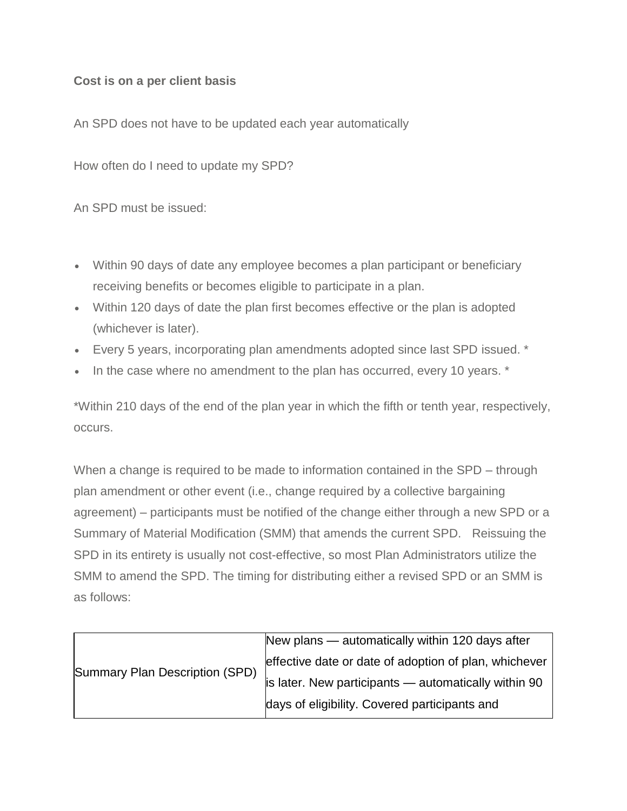## **Cost is on a per client basis**

An SPD does not have to be updated each year automatically

How often do I need to update my SPD?

An SPD must be issued:

- Within 90 days of date any employee becomes a plan participant or beneficiary receiving benefits or becomes eligible to participate in a plan.
- Within 120 days of date the plan first becomes effective or the plan is adopted (whichever is later).
- Every 5 years, incorporating plan amendments adopted since last SPD issued. \*
- In the case where no amendment to the plan has occurred, every 10 years. \*

\*Within 210 days of the end of the plan year in which the fifth or tenth year, respectively, occurs.

When a change is required to be made to information contained in the SPD – through plan amendment or other event (i.e., change required by a collective bargaining agreement) – participants must be notified of the change either through a new SPD or a Summary of Material Modification (SMM) that amends the current SPD. Reissuing the SPD in its entirety is usually not cost-effective, so most Plan Administrators utilize the SMM to amend the SPD. The timing for distributing either a revised SPD or an SMM is as follows:

| Summary Plan Description (SPD) | New plans — automatically within 120 days after       |
|--------------------------------|-------------------------------------------------------|
|                                | effective date or date of adoption of plan, whichever |
|                                | is later. New participants - automatically within 90  |
|                                | days of eligibility. Covered participants and         |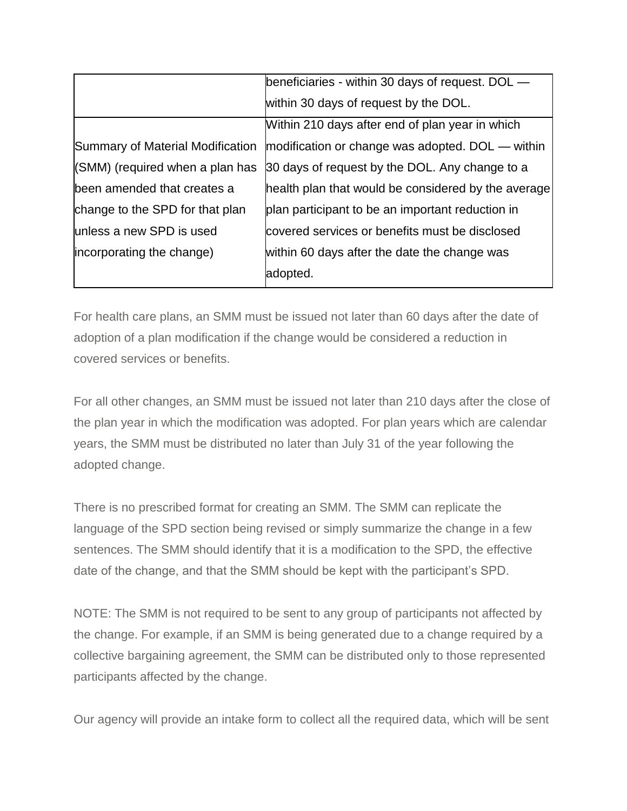|                                  | beneficiaries - within 30 days of request. DOL —    |
|----------------------------------|-----------------------------------------------------|
|                                  | within 30 days of request by the DOL.               |
|                                  | Within 210 days after end of plan year in which     |
| Summary of Material Modification | modification or change was adopted. DOL — within    |
| (SMM) (required when a plan has  | 30 days of request by the DOL. Any change to a      |
| been amended that creates a      | health plan that would be considered by the average |
| change to the SPD for that plan  | plan participant to be an important reduction in    |
| unless a new SPD is used         | covered services or benefits must be disclosed      |
| incorporating the change)        | within 60 days after the date the change was        |
|                                  | adopted.                                            |

For health care plans, an SMM must be issued not later than 60 days after the date of adoption of a plan modification if the change would be considered a reduction in covered services or benefits.

For all other changes, an SMM must be issued not later than 210 days after the close of the plan year in which the modification was adopted. For plan years which are calendar years, the SMM must be distributed no later than July 31 of the year following the adopted change.

There is no prescribed format for creating an SMM. The SMM can replicate the language of the SPD section being revised or simply summarize the change in a few sentences. The SMM should identify that it is a modification to the SPD, the effective date of the change, and that the SMM should be kept with the participant's SPD.

NOTE: The SMM is not required to be sent to any group of participants not affected by the change. For example, if an SMM is being generated due to a change required by a collective bargaining agreement, the SMM can be distributed only to those represented participants affected by the change.

Our agency will provide an intake form to collect all the required data, which will be sent